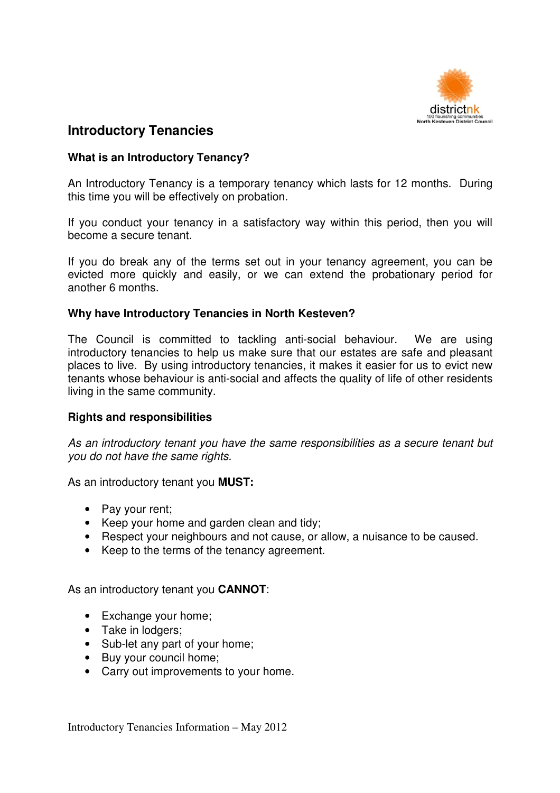

# **Introductory Tenancies**

# **What is an Introductory Tenancy?**

An Introductory Tenancy is a temporary tenancy which lasts for 12 months. During this time you will be effectively on probation.

If you conduct your tenancy in a satisfactory way within this period, then you will become a secure tenant.

If you do break any of the terms set out in your tenancy agreement, you can be evicted more quickly and easily, or we can extend the probationary period for another 6 months.

# **Why have Introductory Tenancies in North Kesteven?**

The Council is committed to tackling anti-social behaviour. We are using introductory tenancies to help us make sure that our estates are safe and pleasant places to live. By using introductory tenancies, it makes it easier for us to evict new tenants whose behaviour is anti-social and affects the quality of life of other residents living in the same community.

# **Rights and responsibilities**

As an introductory tenant you have the same responsibilities as a secure tenant but you do not have the same rights.

As an introductory tenant you **MUST:** 

- Pay your rent;
- Keep your home and garden clean and tidy;
- Respect your neighbours and not cause, or allow, a nuisance to be caused.
- Keep to the terms of the tenancy agreement.

As an introductory tenant you **CANNOT**:

- Exchange your home;
- Take in lodgers;
- Sub-let any part of your home;
- Buy your council home;
- Carry out improvements to your home.

Introductory Tenancies Information – May 2012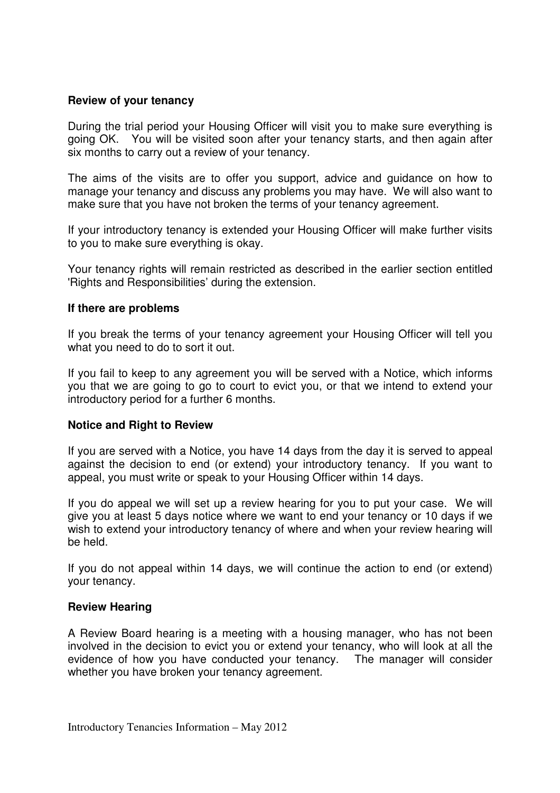# **Review of your tenancy**

During the trial period your Housing Officer will visit you to make sure everything is going OK. You will be visited soon after your tenancy starts, and then again after six months to carry out a review of your tenancy.

The aims of the visits are to offer you support, advice and guidance on how to manage your tenancy and discuss any problems you may have. We will also want to make sure that you have not broken the terms of your tenancy agreement.

If your introductory tenancy is extended your Housing Officer will make further visits to you to make sure everything is okay.

Your tenancy rights will remain restricted as described in the earlier section entitled 'Rights and Responsibilities' during the extension.

#### **If there are problems**

If you break the terms of your tenancy agreement your Housing Officer will tell you what you need to do to sort it out.

If you fail to keep to any agreement you will be served with a Notice, which informs you that we are going to go to court to evict you, or that we intend to extend your introductory period for a further 6 months.

# **Notice and Right to Review**

If you are served with a Notice, you have 14 days from the day it is served to appeal against the decision to end (or extend) your introductory tenancy. If you want to appeal, you must write or speak to your Housing Officer within 14 days.

If you do appeal we will set up a review hearing for you to put your case. We will give you at least 5 days notice where we want to end your tenancy or 10 days if we wish to extend your introductory tenancy of where and when your review hearing will be held.

If you do not appeal within 14 days, we will continue the action to end (or extend) your tenancy.

#### **Review Hearing**

A Review Board hearing is a meeting with a housing manager, who has not been involved in the decision to evict you or extend your tenancy, who will look at all the evidence of how you have conducted your tenancy. The manager will consider whether you have broken your tenancy agreement.